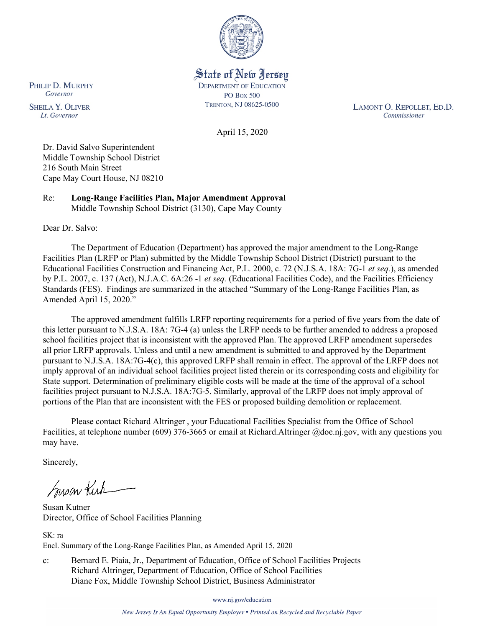

State of New Jersey **DEPARTMENT OF EDUCATION PO Box 500** TRENTON, NJ 08625-0500

LAMONT O. REPOLLET, ED.D. Commissioner

April 15, 2020

Dr. David Salvo Superintendent Middle Township School District 216 South Main Street Cape May Court House, NJ 08210

Re: **Long-Range Facilities Plan, Major Amendment Approval** Middle Township School District (3130), Cape May County

Dear Dr. Salvo:

The Department of Education (Department) has approved the major amendment to the Long-Range Facilities Plan (LRFP or Plan) submitted by the Middle Township School District (District) pursuant to the Educational Facilities Construction and Financing Act, P.L. 2000, c. 72 (N.J.S.A. 18A: 7G-1 *et seq.*), as amended by P.L. 2007, c. 137 (Act), N.J.A.C. 6A:26 -1 *et seq.* (Educational Facilities Code), and the Facilities Efficiency Standards (FES). Findings are summarized in the attached "Summary of the Long-Range Facilities Plan, as Amended April 15, 2020."

The approved amendment fulfills LRFP reporting requirements for a period of five years from the date of this letter pursuant to N.J.S.A. 18A: 7G-4 (a) unless the LRFP needs to be further amended to address a proposed school facilities project that is inconsistent with the approved Plan. The approved LRFP amendment supersedes all prior LRFP approvals. Unless and until a new amendment is submitted to and approved by the Department pursuant to N.J.S.A. 18A:7G-4(c), this approved LRFP shall remain in effect. The approval of the LRFP does not imply approval of an individual school facilities project listed therein or its corresponding costs and eligibility for State support. Determination of preliminary eligible costs will be made at the time of the approval of a school facilities project pursuant to N.J.S.A. 18A:7G-5. Similarly, approval of the LRFP does not imply approval of portions of the Plan that are inconsistent with the FES or proposed building demolition or replacement.

Please contact Richard Altringer , your Educational Facilities Specialist from the Office of School Facilities, at telephone number (609) 376-3665 or email at Richard.Altringer @doe.nj.gov, with any questions you may have.

Sincerely,

Susan Kich

Susan Kutner Director, Office of School Facilities Planning

SK: ra Encl. Summary of the Long-Range Facilities Plan, as Amended April 15, 2020

c: Bernard E. Piaia, Jr., Department of Education, Office of School Facilities Projects Richard Altringer, Department of Education, Office of School Facilities Diane Fox, Middle Township School District, Business Administrator

www.nj.gov/education

New Jersey Is An Equal Opportunity Employer . Printed on Recycled and Recyclable Paper

PHILIP D. MURPHY Governor

**SHEILA Y. OLIVER** Lt. Governor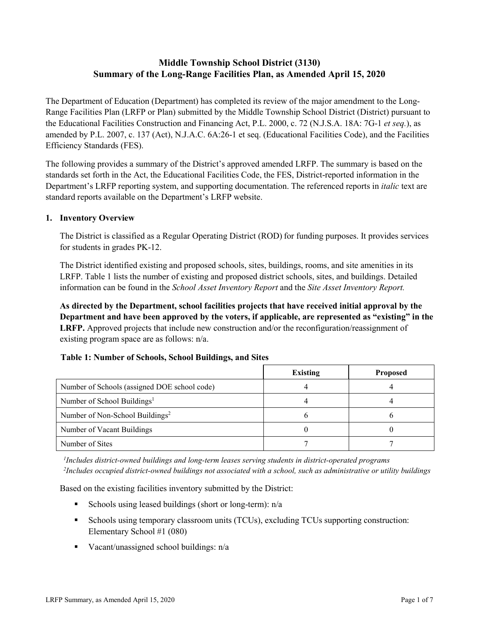# **Middle Township School District (3130) Summary of the Long-Range Facilities Plan, as Amended April 15, 2020**

The Department of Education (Department) has completed its review of the major amendment to the Long-Range Facilities Plan (LRFP or Plan) submitted by the Middle Township School District (District) pursuant to the Educational Facilities Construction and Financing Act, P.L. 2000, c. 72 (N.J.S.A. 18A: 7G-1 *et seq.*), as amended by P.L. 2007, c. 137 (Act), N.J.A.C. 6A:26-1 et seq. (Educational Facilities Code), and the Facilities Efficiency Standards (FES).

The following provides a summary of the District's approved amended LRFP. The summary is based on the standards set forth in the Act, the Educational Facilities Code, the FES, District-reported information in the Department's LRFP reporting system, and supporting documentation. The referenced reports in *italic* text are standard reports available on the Department's LRFP website.

#### **1. Inventory Overview**

The District is classified as a Regular Operating District (ROD) for funding purposes. It provides services for students in grades PK-12.

The District identified existing and proposed schools, sites, buildings, rooms, and site amenities in its LRFP. Table 1 lists the number of existing and proposed district schools, sites, and buildings. Detailed information can be found in the *School Asset Inventory Report* and the *Site Asset Inventory Report.*

**As directed by the Department, school facilities projects that have received initial approval by the Department and have been approved by the voters, if applicable, are represented as "existing" in the LRFP.** Approved projects that include new construction and/or the reconfiguration/reassignment of existing program space are as follows: n/a.

# **Table 1: Number of Schools, School Buildings, and Sites**

|                                              | <b>Existing</b> | <b>Proposed</b> |
|----------------------------------------------|-----------------|-----------------|
| Number of Schools (assigned DOE school code) |                 |                 |
| Number of School Buildings <sup>1</sup>      |                 |                 |
| Number of Non-School Buildings <sup>2</sup>  |                 |                 |
| Number of Vacant Buildings                   |                 |                 |
| Number of Sites                              |                 |                 |

*1 Includes district-owned buildings and long-term leases serving students in district-operated programs 2 Includes occupied district-owned buildings not associated with a school, such as administrative or utility buildings*

Based on the existing facilities inventory submitted by the District:

- Schools using leased buildings (short or long-term):  $n/a$
- Schools using temporary classroom units (TCUs), excluding TCUs supporting construction: Elementary School #1 (080)
- Vacant/unassigned school buildings:  $n/a$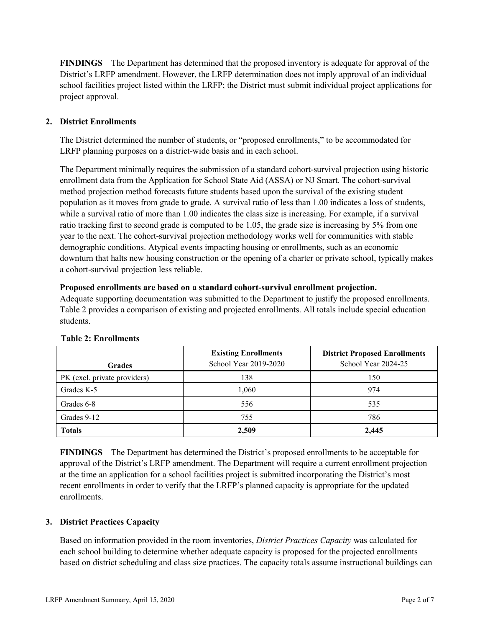**FINDINGS** The Department has determined that the proposed inventory is adequate for approval of the District's LRFP amendment. However, the LRFP determination does not imply approval of an individual school facilities project listed within the LRFP; the District must submit individual project applications for project approval.

# **2. District Enrollments**

The District determined the number of students, or "proposed enrollments," to be accommodated for LRFP planning purposes on a district-wide basis and in each school.

The Department minimally requires the submission of a standard cohort-survival projection using historic enrollment data from the Application for School State Aid (ASSA) or NJ Smart. The cohort-survival method projection method forecasts future students based upon the survival of the existing student population as it moves from grade to grade. A survival ratio of less than 1.00 indicates a loss of students, while a survival ratio of more than 1.00 indicates the class size is increasing. For example, if a survival ratio tracking first to second grade is computed to be 1.05, the grade size is increasing by 5% from one year to the next. The cohort-survival projection methodology works well for communities with stable demographic conditions. Atypical events impacting housing or enrollments, such as an economic downturn that halts new housing construction or the opening of a charter or private school, typically makes a cohort-survival projection less reliable.

#### **Proposed enrollments are based on a standard cohort-survival enrollment projection.**

Adequate supporting documentation was submitted to the Department to justify the proposed enrollments. Table 2 provides a comparison of existing and projected enrollments. All totals include special education students.

| <b>Grades</b>                | <b>Existing Enrollments</b><br>School Year 2019-2020 | <b>District Proposed Enrollments</b><br>School Year 2024-25 |
|------------------------------|------------------------------------------------------|-------------------------------------------------------------|
| PK (excl. private providers) | 138                                                  | 150                                                         |
| Grades K-5                   | 1,060                                                | 974                                                         |
| Grades 6-8                   | 556                                                  | 535                                                         |
| Grades 9-12                  | 755                                                  | 786                                                         |
| <b>Totals</b>                | 2,509                                                | 2.445                                                       |

#### **Table 2: Enrollments**

**FINDINGS** The Department has determined the District's proposed enrollments to be acceptable for approval of the District's LRFP amendment. The Department will require a current enrollment projection at the time an application for a school facilities project is submitted incorporating the District's most recent enrollments in order to verify that the LRFP's planned capacity is appropriate for the updated enrollments.

# **3. District Practices Capacity**

Based on information provided in the room inventories, *District Practices Capacity* was calculated for each school building to determine whether adequate capacity is proposed for the projected enrollments based on district scheduling and class size practices. The capacity totals assume instructional buildings can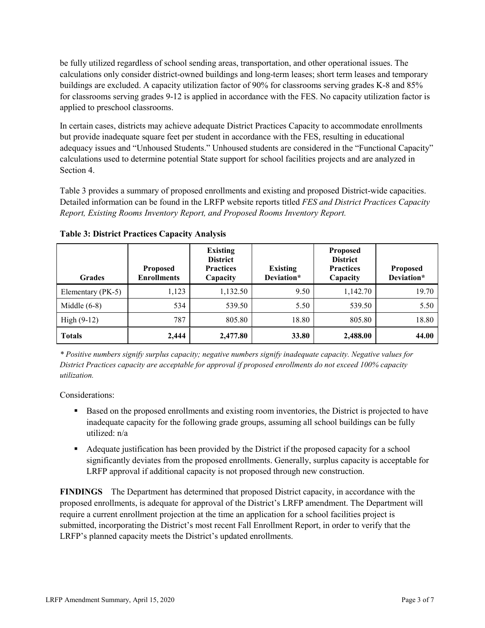be fully utilized regardless of school sending areas, transportation, and other operational issues. The calculations only consider district-owned buildings and long-term leases; short term leases and temporary buildings are excluded. A capacity utilization factor of 90% for classrooms serving grades K-8 and 85% for classrooms serving grades 9-12 is applied in accordance with the FES. No capacity utilization factor is applied to preschool classrooms.

In certain cases, districts may achieve adequate District Practices Capacity to accommodate enrollments but provide inadequate square feet per student in accordance with the FES, resulting in educational adequacy issues and "Unhoused Students." Unhoused students are considered in the "Functional Capacity" calculations used to determine potential State support for school facilities projects and are analyzed in Section 4.

Table 3 provides a summary of proposed enrollments and existing and proposed District-wide capacities. Detailed information can be found in the LRFP website reports titled *FES and District Practices Capacity Report, Existing Rooms Inventory Report, and Proposed Rooms Inventory Report.*

| <b>Grades</b>     | <b>Proposed</b><br><b>Enrollments</b> | <b>Existing</b><br><b>District</b><br><b>Practices</b><br>Capacity | <b>Existing</b><br>Deviation* | <b>Proposed</b><br><b>District</b><br><b>Practices</b><br>Capacity | <b>Proposed</b><br>Deviation* |
|-------------------|---------------------------------------|--------------------------------------------------------------------|-------------------------------|--------------------------------------------------------------------|-------------------------------|
| Elementary (PK-5) | 1,123                                 | 1,132.50                                                           | 9.50                          | 1,142.70                                                           | 19.70                         |
| Middle $(6-8)$    | 534                                   | 539.50                                                             | 5.50                          | 539.50                                                             | 5.50                          |
| High $(9-12)$     | 787                                   | 805.80                                                             | 18.80                         | 805.80                                                             | 18.80                         |
| <b>Totals</b>     | 2,444                                 | 2,477.80                                                           | 33.80                         | 2,488.00                                                           | 44.00                         |

**Table 3: District Practices Capacity Analysis**

*\* Positive numbers signify surplus capacity; negative numbers signify inadequate capacity. Negative values for District Practices capacity are acceptable for approval if proposed enrollments do not exceed 100% capacity utilization.*

Considerations:

- **Based on the proposed enrollments and existing room inventories, the District is projected to have** inadequate capacity for the following grade groups, assuming all school buildings can be fully utilized: n/a
- Adequate justification has been provided by the District if the proposed capacity for a school significantly deviates from the proposed enrollments. Generally, surplus capacity is acceptable for LRFP approval if additional capacity is not proposed through new construction.

**FINDINGS**The Department has determined that proposed District capacity, in accordance with the proposed enrollments, is adequate for approval of the District's LRFP amendment. The Department will require a current enrollment projection at the time an application for a school facilities project is submitted, incorporating the District's most recent Fall Enrollment Report, in order to verify that the LRFP's planned capacity meets the District's updated enrollments.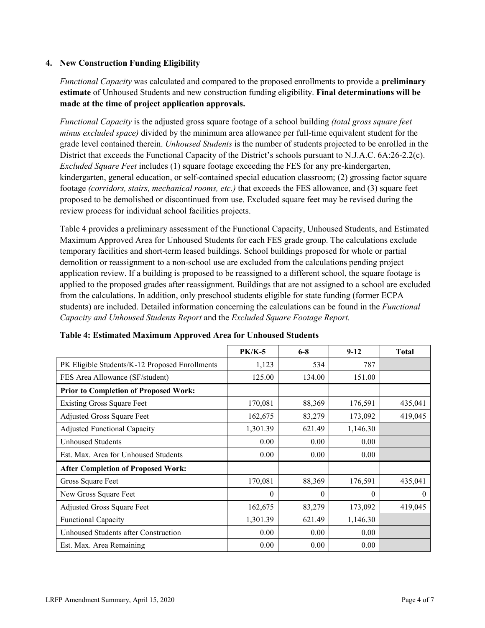### **4. New Construction Funding Eligibility**

*Functional Capacity* was calculated and compared to the proposed enrollments to provide a **preliminary estimate** of Unhoused Students and new construction funding eligibility. **Final determinations will be made at the time of project application approvals.**

*Functional Capacity* is the adjusted gross square footage of a school building *(total gross square feet minus excluded space)* divided by the minimum area allowance per full-time equivalent student for the grade level contained therein. *Unhoused Students* is the number of students projected to be enrolled in the District that exceeds the Functional Capacity of the District's schools pursuant to N.J.A.C. 6A:26-2.2(c). *Excluded Square Feet* includes (1) square footage exceeding the FES for any pre-kindergarten, kindergarten, general education, or self-contained special education classroom; (2) grossing factor square footage *(corridors, stairs, mechanical rooms, etc.)* that exceeds the FES allowance, and (3) square feet proposed to be demolished or discontinued from use. Excluded square feet may be revised during the review process for individual school facilities projects.

Table 4 provides a preliminary assessment of the Functional Capacity, Unhoused Students, and Estimated Maximum Approved Area for Unhoused Students for each FES grade group. The calculations exclude temporary facilities and short-term leased buildings. School buildings proposed for whole or partial demolition or reassignment to a non-school use are excluded from the calculations pending project application review. If a building is proposed to be reassigned to a different school, the square footage is applied to the proposed grades after reassignment. Buildings that are not assigned to a school are excluded from the calculations. In addition, only preschool students eligible for state funding (former ECPA students) are included. Detailed information concerning the calculations can be found in the *Functional Capacity and Unhoused Students Report* and the *Excluded Square Footage Report.*

|                                                | $PK/K-5$ | $6 - 8$  | $9 - 12$ | <b>Total</b> |
|------------------------------------------------|----------|----------|----------|--------------|
| PK Eligible Students/K-12 Proposed Enrollments | 1,123    | 534      | 787      |              |
| FES Area Allowance (SF/student)                | 125.00   | 134.00   | 151.00   |              |
| <b>Prior to Completion of Proposed Work:</b>   |          |          |          |              |
| <b>Existing Gross Square Feet</b>              | 170,081  | 88,369   | 176,591  | 435,041      |
| Adjusted Gross Square Feet                     | 162,675  | 83,279   | 173,092  | 419,045      |
| <b>Adjusted Functional Capacity</b>            | 1,301.39 | 621.49   | 1,146.30 |              |
| <b>Unhoused Students</b>                       | 0.00     | 0.00     | 0.00     |              |
| Est. Max. Area for Unhoused Students           | 0.00     | 0.00     | 0.00     |              |
| <b>After Completion of Proposed Work:</b>      |          |          |          |              |
| Gross Square Feet                              | 170,081  | 88,369   | 176,591  | 435,041      |
| New Gross Square Feet                          | $\theta$ | $\theta$ | $\theta$ | $\theta$     |
| Adjusted Gross Square Feet                     | 162,675  | 83,279   | 173,092  | 419,045      |
| Functional Capacity                            | 1,301.39 | 621.49   | 1,146.30 |              |
| Unhoused Students after Construction           | 0.00     | 0.00     | 0.00     |              |
| Est. Max. Area Remaining                       | 0.00     | 0.00     | 0.00     |              |

| Table 4: Estimated Maximum Approved Area for Unhoused Students |  |  |  |
|----------------------------------------------------------------|--|--|--|
|----------------------------------------------------------------|--|--|--|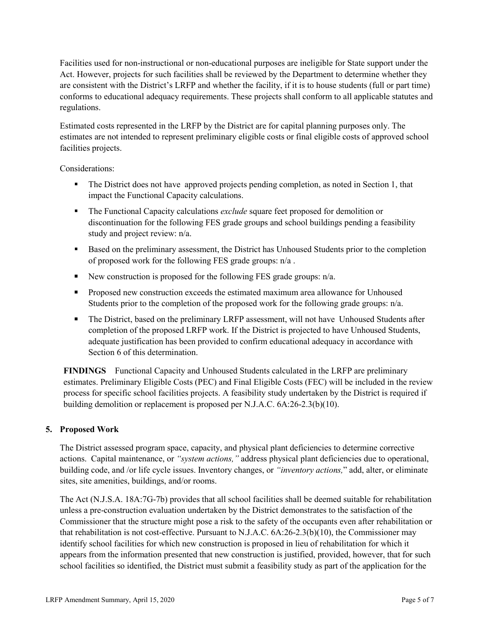Facilities used for non-instructional or non-educational purposes are ineligible for State support under the Act. However, projects for such facilities shall be reviewed by the Department to determine whether they are consistent with the District's LRFP and whether the facility, if it is to house students (full or part time) conforms to educational adequacy requirements. These projects shall conform to all applicable statutes and regulations.

Estimated costs represented in the LRFP by the District are for capital planning purposes only. The estimates are not intended to represent preliminary eligible costs or final eligible costs of approved school facilities projects.

Considerations:

- The District does not have approved projects pending completion, as noted in Section 1, that impact the Functional Capacity calculations.
- The Functional Capacity calculations *exclude* square feet proposed for demolition or discontinuation for the following FES grade groups and school buildings pending a feasibility study and project review: n/a.
- Based on the preliminary assessment, the District has Unhoused Students prior to the completion of proposed work for the following FES grade groups: n/a .
- New construction is proposed for the following FES grade groups:  $n/a$ .
- **Proposed new construction exceeds the estimated maximum area allowance for Unhoused** Students prior to the completion of the proposed work for the following grade groups: n/a.
- The District, based on the preliminary LRFP assessment, will not have Unhoused Students after completion of the proposed LRFP work. If the District is projected to have Unhoused Students, adequate justification has been provided to confirm educational adequacy in accordance with Section 6 of this determination.

**FINDINGS** Functional Capacity and Unhoused Students calculated in the LRFP are preliminary estimates. Preliminary Eligible Costs (PEC) and Final Eligible Costs (FEC) will be included in the review process for specific school facilities projects. A feasibility study undertaken by the District is required if building demolition or replacement is proposed per N.J.A.C. 6A:26-2.3(b)(10).

# **5. Proposed Work**

The District assessed program space, capacity, and physical plant deficiencies to determine corrective actions. Capital maintenance, or *"system actions,"* address physical plant deficiencies due to operational, building code, and /or life cycle issues. Inventory changes, or *"inventory actions,*" add, alter, or eliminate sites, site amenities, buildings, and/or rooms.

The Act (N.J.S.A. 18A:7G-7b) provides that all school facilities shall be deemed suitable for rehabilitation unless a pre-construction evaluation undertaken by the District demonstrates to the satisfaction of the Commissioner that the structure might pose a risk to the safety of the occupants even after rehabilitation or that rehabilitation is not cost-effective. Pursuant to N.J.A.C. 6A:26-2.3(b)(10), the Commissioner may identify school facilities for which new construction is proposed in lieu of rehabilitation for which it appears from the information presented that new construction is justified, provided, however, that for such school facilities so identified, the District must submit a feasibility study as part of the application for the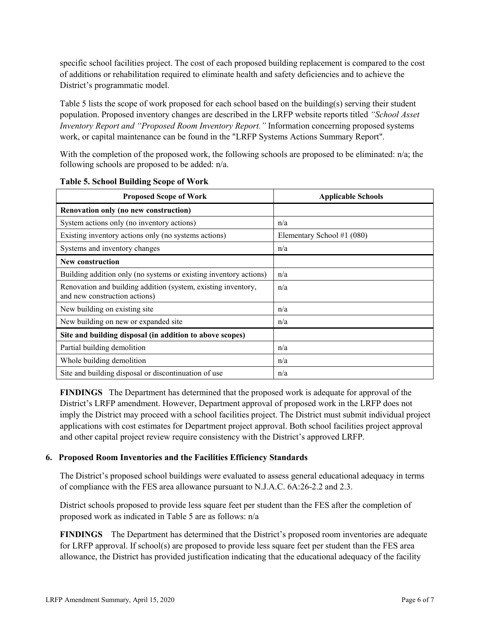specific school facilities project. The cost of each proposed building replacement is compared to the cost of additions or rehabilitation required to eliminate health and safety deficiencies and to achieve the District's programmatic model.

Table 5 lists the scope of work proposed for each school based on the building(s) serving their student population. Proposed inventory changes are described in the LRFP website reports titled *"School Asset Inventory Report and "Proposed Room Inventory Report."* Information concerning proposed systems work, or capital maintenance can be found in the "LRFP Systems Actions Summary Report".

With the completion of the proposed work, the following schools are proposed to be eliminated: n/a; the following schools are proposed to be added: n/a.

| <b>Proposed Scope of Work</b>                                                                  | <b>Applicable Schools</b>  |
|------------------------------------------------------------------------------------------------|----------------------------|
| Renovation only (no new construction)                                                          |                            |
| System actions only (no inventory actions)                                                     | n/a                        |
| Existing inventory actions only (no systems actions)                                           | Elementary School #1 (080) |
| Systems and inventory changes                                                                  | n/a                        |
| <b>New construction</b>                                                                        |                            |
| Building addition only (no systems or existing inventory actions)                              | n/a                        |
| Renovation and building addition (system, existing inventory,<br>and new construction actions) | n/a                        |
| New building on existing site                                                                  | n/a                        |
| New building on new or expanded site                                                           | n/a                        |
| Site and building disposal (in addition to above scopes)                                       |                            |
| Partial building demolition                                                                    | n/a                        |
| Whole building demolition                                                                      | n/a                        |
| Site and building disposal or discontinuation of use                                           | n/a                        |

**Table 5. School Building Scope of Work**

**FINDINGS** The Department has determined that the proposed work is adequate for approval of the District's LRFP amendment. However, Department approval of proposed work in the LRFP does not imply the District may proceed with a school facilities project. The District must submit individual project applications with cost estimates for Department project approval. Both school facilities project approval and other capital project review require consistency with the District's approved LRFP.

#### **6. Proposed Room Inventories and the Facilities Efficiency Standards**

The District's proposed school buildings were evaluated to assess general educational adequacy in terms of compliance with the FES area allowance pursuant to N.J.A.C. 6A:26-2.2 and 2.3.

District schools proposed to provide less square feet per student than the FES after the completion of proposed work as indicated in Table 5 are as follows: n/a

**FINDINGS** The Department has determined that the District's proposed room inventories are adequate for LRFP approval. If school(s) are proposed to provide less square feet per student than the FES area allowance, the District has provided justification indicating that the educational adequacy of the facility